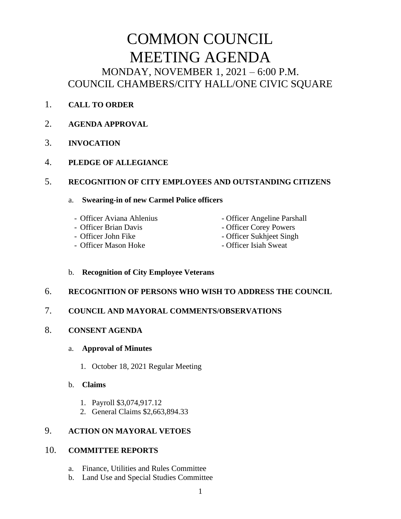# COMMON COUNCIL MEETING AGENDA MONDAY, NOVEMBER 1, 2021 – 6:00 P.M. COUNCIL CHAMBERS/CITY HALL/ONE CIVIC SQUARE

- 1. **CALL TO ORDER**
- 2. **AGENDA APPROVAL**
- 3. **INVOCATION**
- 4. **PLEDGE OF ALLEGIANCE**

#### 5. **RECOGNITION OF CITY EMPLOYEES AND OUTSTANDING CITIZENS**

#### a. **Swearing-in of new Carmel Police officers**

- 
- 
- 
- Officer Mason Hoke Officer Isiah Sweat
- Officer Aviana Ahlenius Officer Angeline Parshall
- Officer Brian Davis  **Officer Corey Powers**
- Officer John Fike Officer Sukhjeet Singh
	-

#### b. **Recognition of City Employee Veterans**

## 6. **RECOGNITION OF PERSONS WHO WISH TO ADDRESS THE COUNCIL**

## 7. **COUNCIL AND MAYORAL COMMENTS/OBSERVATIONS**

8. **CONSENT AGENDA**

#### a. **Approval of Minutes**

- 1. October 18, 2021 Regular Meeting
- b. **Claims**
	- 1. Payroll \$3,074,917.12
	- 2. General Claims \$2,663,894.33

# 9. **ACTION ON MAYORAL VETOES**

## 10. **COMMITTEE REPORTS**

- a. Finance, Utilities and Rules Committee
- b. Land Use and Special Studies Committee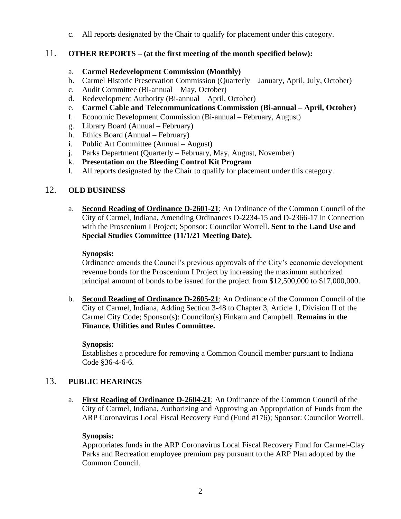c. All reports designated by the Chair to qualify for placement under this category.

# 11. **OTHER REPORTS – (at the first meeting of the month specified below):**

#### a. **Carmel Redevelopment Commission (Monthly)**

- b. Carmel Historic Preservation Commission (Quarterly January, April, July, October)
- c. Audit Committee (Bi-annual May, October)
- d. Redevelopment Authority (Bi-annual April, October)
- e. **Carmel Cable and Telecommunications Commission (Bi-annual – April, October)**
- f. Economic Development Commission (Bi-annual February, August)
- g. Library Board (Annual February)
- h. Ethics Board (Annual February)
- i. Public Art Committee (Annual August)
- j. Parks Department (Quarterly February, May, August, November)
- k. **Presentation on the Bleeding Control Kit Program**
- l. All reports designated by the Chair to qualify for placement under this category.

# 12. **OLD BUSINESS**

a. **Second Reading of Ordinance D-2601-21**; An Ordinance of the Common Council of the City of Carmel, Indiana, Amending Ordinances D-2234-15 and D-2366-17 in Connection with the Proscenium I Project; Sponsor: Councilor Worrell. **Sent to the Land Use and Special Studies Committee (11/1/21 Meeting Date).**

## **Synopsis:**

Ordinance amends the Council's previous approvals of the City's economic development revenue bonds for the Proscenium I Project by increasing the maximum authorized principal amount of bonds to be issued for the project from \$12,500,000 to \$17,000,000.

b. **Second Reading of Ordinance D-2605-21**; An Ordinance of the Common Council of the City of Carmel, Indiana, Adding Section 3-48 to Chapter 3, Article 1, Division II of the Carmel City Code; Sponsor(s): Councilor(s) Finkam and Campbell. **Remains in the Finance, Utilities and Rules Committee.**

## **Synopsis:**

Establishes a procedure for removing a Common Council member pursuant to Indiana Code §36-4-6-6.

## 13. **PUBLIC HEARINGS**

a. **First Reading of Ordinance D-2604-21**; An Ordinance of the Common Council of the City of Carmel, Indiana, Authorizing and Approving an Appropriation of Funds from the ARP Coronavirus Local Fiscal Recovery Fund (Fund #176); Sponsor: Councilor Worrell.

## **Synopsis:**

Appropriates funds in the ARP Coronavirus Local Fiscal Recovery Fund for Carmel-Clay Parks and Recreation employee premium pay pursuant to the ARP Plan adopted by the Common Council.